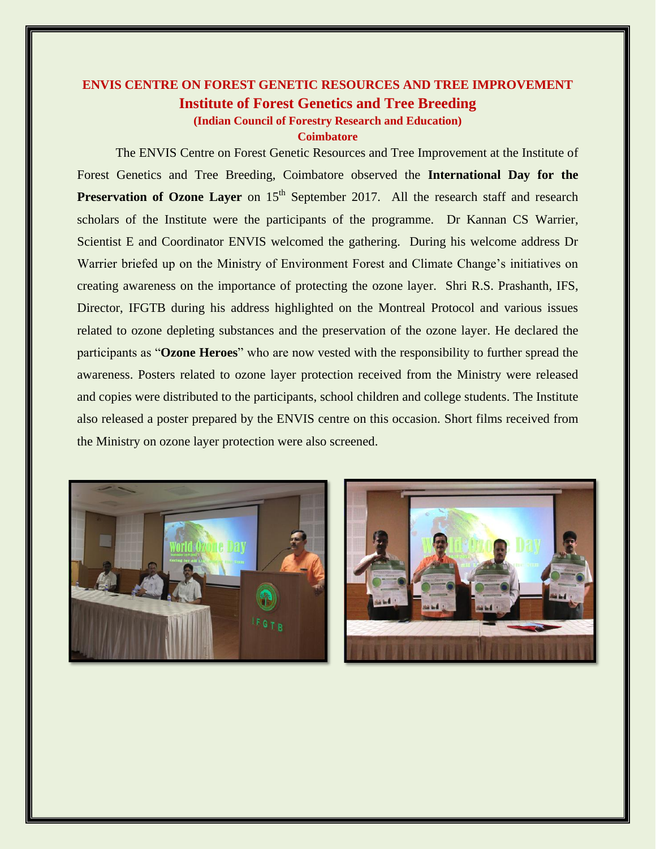## **ENVIS CENTRE ON FOREST GENETIC RESOURCES AND TREE IMPROVEMENT Institute of Forest Genetics and Tree Breeding (Indian Council of Forestry Research and Education)**

**Coimbatore**

The ENVIS Centre on Forest Genetic Resources and Tree Improvement at the Institute of Forest Genetics and Tree Breeding, Coimbatore observed the **International Day for the Preservation of Ozone Layer** on 15<sup>th</sup> September 2017. All the research staff and research scholars of the Institute were the participants of the programme. Dr Kannan CS Warrier, Scientist E and Coordinator ENVIS welcomed the gathering. During his welcome address Dr Warrier briefed up on the Ministry of Environment Forest and Climate Change's initiatives on creating awareness on the importance of protecting the ozone layer. Shri R.S. Prashanth, IFS, Director, IFGTB during his address highlighted on the Montreal Protocol and various issues related to ozone depleting substances and the preservation of the ozone layer. He declared the participants as "**Ozone Heroes**" who are now vested with the responsibility to further spread the awareness. Posters related to ozone layer protection received from the Ministry were released and copies were distributed to the participants, school children and college students. The Institute also released a poster prepared by the ENVIS centre on this occasion. Short films received from the Ministry on ozone layer protection were also screened.